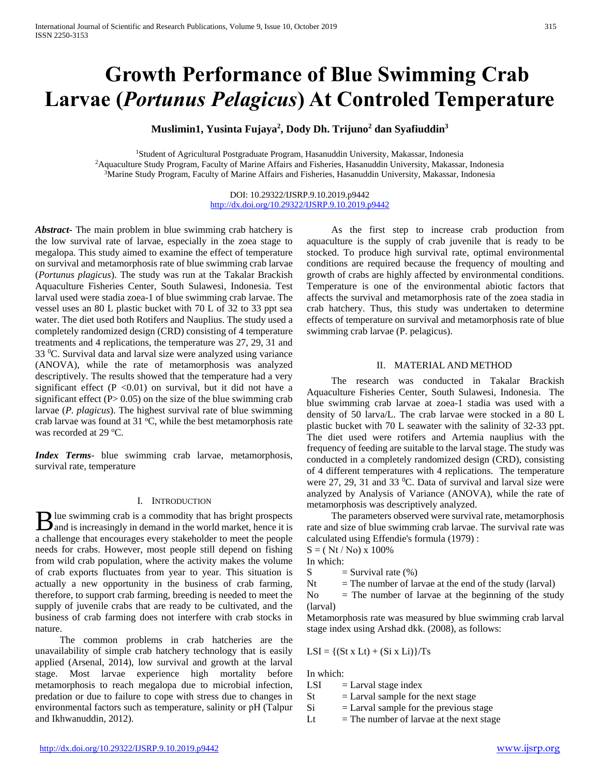# **Growth Performance of Blue Swimming Crab Larvae (***Portunus Pelagicus***) At Controled Temperature**

**Muslimin1, Yusinta Fujaya<sup>2</sup> , Dody Dh. Trijuno<sup>2</sup> dan Syafiuddin<sup>3</sup>**

<sup>1</sup>Student of Agricultural Postgraduate Program, Hasanuddin University, Makassar, Indonesia <sup>2</sup>Aquaculture Study Program, Faculty of Marine Affairs and Fisheries, Hasanuddin University, Makassar, Indonesia <sup>3</sup>Marine Study Program, Faculty of Marine Affairs and Fisheries, Hasanuddin University, Makassar, Indonesia

> DOI: 10.29322/IJSRP.9.10.2019.p9442 <http://dx.doi.org/10.29322/IJSRP.9.10.2019.p9442>

*Abstract***-** The main problem in blue swimming crab hatchery is the low survival rate of larvae, especially in the zoea stage to megalopa. This study aimed to examine the effect of temperature on survival and metamorphosis rate of blue swimming crab larvae (*Portunus plagicus*). The study was run at the Takalar Brackish Aquaculture Fisheries Center, South Sulawesi, Indonesia. Test larval used were stadia zoea-1 of blue swimming crab larvae. The vessel uses an 80 L plastic bucket with 70 L of 32 to 33 ppt sea water. The diet used both Rotifers and Nauplius. The study used a completely randomized design (CRD) consisting of 4 temperature treatments and 4 replications, the temperature was 27, 29, 31 and  $33 \text{ °C}$ . Survival data and larval size were analyzed using variance (ANOVA), while the rate of metamorphosis was analyzed descriptively. The results showed that the temperature had a very significant effect (P <0.01) on survival, but it did not have a significant effect  $(P> 0.05)$  on the size of the blue swimming crab larvae (*P. plagicus*). The highest survival rate of blue swimming crab larvae was found at  $31^{\circ}$ C, while the best metamorphosis rate was recorded at 29  $°C$ .

*Index Terms*- blue swimming crab larvae, metamorphosis, survival rate, temperature

# I. INTRODUCTION

lue swimming crab is a commodity that has bright prospects **B** lue swimming crab is a commodity that has bright prospects and is increasingly in demand in the world market, hence it is a challenge that encourages every stakeholder to meet the people needs for crabs. However, most people still depend on fishing from wild crab population, where the activity makes the volume of crab exports fluctuates from year to year. This situation is actually a new opportunity in the business of crab farming, therefore, to support crab farming, breeding is needed to meet the supply of juvenile crabs that are ready to be cultivated, and the business of crab farming does not interfere with crab stocks in nature.

 The common problems in crab hatcheries are the unavailability of simple crab hatchery technology that is easily applied (Arsenal, 2014), low survival and growth at the larval stage. Most larvae experience high mortality before metamorphosis to reach megalopa due to microbial infection, predation or due to failure to cope with stress due to changes in environmental factors such as temperature, salinity or pH (Talpur and Ikhwanuddin, 2012).

 As the first step to increase crab production from aquaculture is the supply of crab juvenile that is ready to be stocked. To produce high survival rate, optimal environmental conditions are required because the frequency of moulting and growth of crabs are highly affected by environmental conditions. Temperature is one of the environmental abiotic factors that affects the survival and metamorphosis rate of the zoea stadia in crab hatchery. Thus, this study was undertaken to determine effects of temperature on survival and metamorphosis rate of blue swimming crab larvae (P. pelagicus).

## II. MATERIAL AND METHOD

 The research was conducted in Takalar Brackish Aquaculture Fisheries Center, South Sulawesi, Indonesia. The blue swimming crab larvae at zoea-1 stadia was used with a density of 50 larva/L. The crab larvae were stocked in a 80 L plastic bucket with 70 L seawater with the salinity of 32-33 ppt. The diet used were rotifers and Artemia nauplius with the frequency of feeding are suitable to the larval stage. The study was conducted in a completely randomized design (CRD), consisting of 4 different temperatures with 4 replications. The temperature were  $27$ ,  $29$ ,  $31$  and  $33$  °C. Data of survival and larval size were analyzed by Analysis of Variance (ANOVA), while the rate of metamorphosis was descriptively analyzed.

 The parameters observed were survival rate, metamorphosis rate and size of blue swimming crab larvae. The survival rate was calculated using Effendie's formula (1979) :

 $S = (Nt / No) \times 100\%$ 

In which:

 $S =$  Survival rate  $(\%)$ 

 $Nt =$ The number of larvae at the end of the study (larval)

 $No$  = The number of larvae at the beginning of the study (larval)

Metamorphosis rate was measured by blue swimming crab larval stage index using Arshad dkk. (2008), as follows:

$$
LSI = \{(St x Lt) + (Si x Li)\}/Ts
$$

In which:

- $LSI = Larval stage index$
- $St = Larval$  sample for the next stage
- $Si$  = Larval sample for the previous stage
- Lt  $=$  The number of larvae at the next stage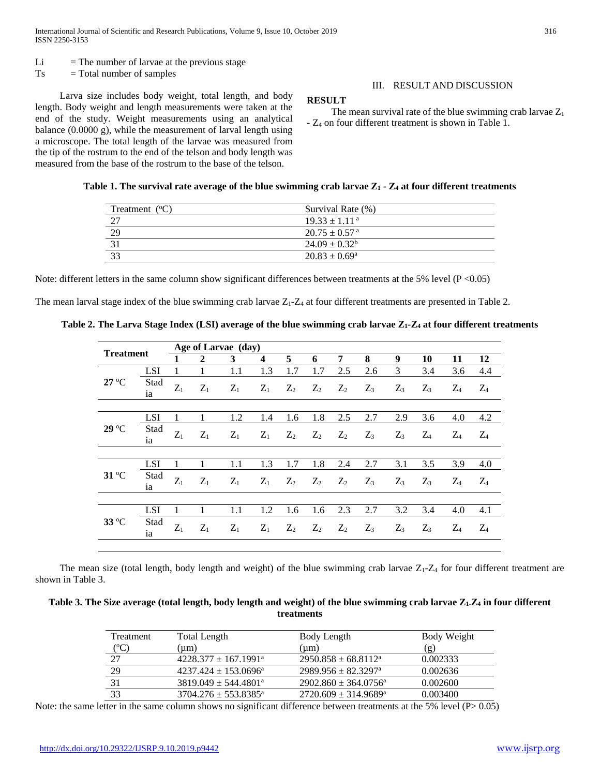- $Li = The number of larvae at the previous stage$
- $Ts = Total number of samples$

 Larva size includes body weight, total length, and body length. Body weight and length measurements were taken at the end of the study. Weight measurements using an analytical balance (0.0000 g), while the measurement of larval length using a microscope. The total length of the larvae was measured from the tip of the rostrum to the end of the telson and body length was measured from the base of the rostrum to the base of the telson.

# III. RESULT AND DISCUSSION

## **RESULT**

The mean survival rate of the blue swimming crab larvae  $Z_1$ - Z<sup>4</sup> on four different treatment is shown in Table 1.

|  |  | Table 1. The survival rate average of the blue swimming crab larvae Z <sub>1</sub> - Z <sub>4</sub> at four different treatments |  |  |  |  |  |  |
|--|--|----------------------------------------------------------------------------------------------------------------------------------|--|--|--|--|--|--|
|--|--|----------------------------------------------------------------------------------------------------------------------------------|--|--|--|--|--|--|

| Treatment $(°C)$ | Survival Rate (%)           |  |
|------------------|-----------------------------|--|
| רר               | $19.33 \pm 1.11^{\text{a}}$ |  |
| 29               | $20.75 + 0.57$ <sup>a</sup> |  |
|                  | $24.09 \pm 0.32^b$          |  |
|                  | $20.83 \pm 0.69^{\circ}$    |  |

Note: different letters in the same column show significant differences between treatments at the 5% level ( $P < 0.05$ )

The mean larval stage index of the blue swimming crab larvae  $Z_1$ - $Z_4$  at four different treatments are presented in Table 2.

|  |  | Table 2. The Larva Stage Index (LSI) average of the blue swimming crab larvae Z1-Z4 at four different treatments |
|--|--|------------------------------------------------------------------------------------------------------------------|
|  |  |                                                                                                                  |

| 1                               | $\overline{2}$               | 3     |                         |       | Age of Larvae (day) |       |       |       |       |       |       |  |  |  |  |
|---------------------------------|------------------------------|-------|-------------------------|-------|---------------------|-------|-------|-------|-------|-------|-------|--|--|--|--|
|                                 |                              |       | $\overline{\mathbf{4}}$ | 5     | 6                   | 7     | 8     | 9     | 10    | 11    | 12    |  |  |  |  |
|                                 | 1                            | 1.1   | 1.3                     | 1.7   | 1.7                 | 2.5   | 2.6   | 3     | 3.4   | 3.6   | 4.4   |  |  |  |  |
| $Z_1$                           | $Z_1$                        | $Z_1$ | $Z_1$                   | $Z_2$ | $Z_2$               | $Z_2$ | $Z_3$ | $Z_3$ | $Z_3$ | $Z_4$ | $Z_4$ |  |  |  |  |
|                                 |                              |       |                         |       |                     |       |       |       |       |       |       |  |  |  |  |
| 1                               | 1                            | 1.2   | 1.4                     | 1.6   | 1.8                 | 2.5   | 2.7   | 2.9   | 3.6   | 4.0   | 4.2   |  |  |  |  |
| $Z_1$                           | $Z_1$                        | $Z_1$ | $Z_1$                   | $Z_2$ | $Z_2$               | $Z_2$ | $Z_3$ | $Z_3$ | $Z_4$ | $Z_4$ | $Z_4$ |  |  |  |  |
|                                 |                              |       |                         |       |                     |       |       |       |       |       |       |  |  |  |  |
| 1                               |                              | 1.1   | 1.3                     | 1.7   | 1.8                 | 2.4   | 2.7   | 3.1   | 3.5   | 3.9   | 4.0   |  |  |  |  |
| $Z_1$                           | $Z_1$                        | $Z_1$ | $Z_1$                   | $Z_2$ | $Z_2$               | $Z_2$ | $Z_3$ | $Z_3$ | $Z_3$ | $Z_4$ | $Z_4$ |  |  |  |  |
|                                 |                              |       |                         |       |                     |       |       |       |       |       |       |  |  |  |  |
| 1                               |                              | 1.1   | 1.2                     | 1.6   | 1.6                 | 2.3   | 2.7   | 3.2   | 3.4   | 4.0   | 4.1   |  |  |  |  |
| $Z_1$                           | $Z_1$                        | $Z_1$ | $Z_1$                   | $Z_2$ | $Z_2$               | $Z_2$ | $Z_3$ | $Z_3$ | $Z_3$ | $Z_4$ | $Z_4$ |  |  |  |  |
| LSI<br>LSI<br>LSI<br><b>LSI</b> | Stad<br>Stad<br>Stad<br>Stad |       |                         |       |                     |       |       |       |       |       |       |  |  |  |  |

The mean size (total length, body length and weight) of the blue swimming crab larvae  $Z_1$ - $Z_4$  for four different treatment are shown in Table 3.

**Table 3. The Size average (total length, body length and weight) of the blue swimming crab larvae Z1-Z<sup>4</sup> in four different treatments**

| Treatment | Total Length                       | Body Length                         | Body Weight    |
|-----------|------------------------------------|-------------------------------------|----------------|
| (°C)      | (um                                | (um)                                | $(\mathbf{g})$ |
| 27        | $4228.377 \pm 167.1991^{\circ}$    | $2950.858 \pm 68.8112^{\text{a}}$   | 0.002333       |
| 29        | $4237.424 + 153.0696^{\circ}$      | $2989.956 \pm 82.3297$ <sup>a</sup> | 0.002636       |
| 31        | $3819.049 \pm 544.4801^{\circ}$    | $2902.860 \pm 364.0756^{\circ}$     | 0.002600       |
| 33        | $3704.276 \pm 553.8385^{\text{a}}$ | $2720.609 \pm 314.9689^{\circ}$     | 0.003400       |

Note: the same letter in the same column shows no significant difference between treatments at the 5% level (P> 0.05)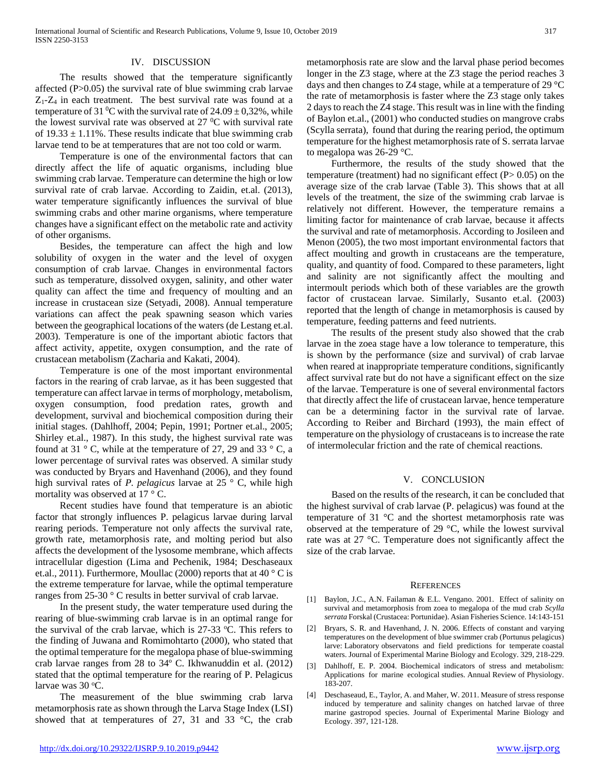#### IV. DISCUSSION

 The results showed that the temperature significantly affected (P>0.05) the survival rate of blue swimming crab larvae  $Z_1$ - $Z_4$  in each treatment. The best survival rate was found at a temperature of 31 <sup>o</sup>C with the survival rate of  $24.09 \pm 0.32$ %, while the lowest survival rate was observed at  $27 \degree C$  with survival rate of  $19.33 \pm 1.11\%$ . These results indicate that blue swimming crab larvae tend to be at temperatures that are not too cold or warm.

 Temperature is one of the environmental factors that can directly affect the life of aquatic organisms, including blue swimming crab larvae. Temperature can determine the high or low survival rate of crab larvae. According to Zaidin, et.al. (2013), water temperature significantly influences the survival of blue swimming crabs and other marine organisms, where temperature changes have a significant effect on the metabolic rate and activity of other organisms.

 Besides, the temperature can affect the high and low solubility of oxygen in the water and the level of oxygen consumption of crab larvae. Changes in environmental factors such as temperature, dissolved oxygen, salinity, and other water quality can affect the time and frequency of moulting and an increase in crustacean size (Setyadi, 2008). Annual temperature variations can affect the peak spawning season which varies between the geographical locations of the waters (de Lestang et.al. 2003). Temperature is one of the important abiotic factors that affect activity, appetite, oxygen consumption, and the rate of crustacean metabolism (Zacharia and Kakati, 2004).

 Temperature is one of the most important environmental factors in the rearing of crab larvae, as it has been suggested that temperature can affect larvae in terms of morphology, metabolism, oxygen consumption, food predation rates, growth and development, survival and biochemical composition during their initial stages. (Dahlhoff, 2004; Pepin, 1991; Portner et.al., 2005; Shirley et.al., 1987). In this study, the highest survival rate was found at 31  $\degree$  C, while at the temperature of 27, 29 and 33  $\degree$  C, a lower percentage of survival rates was observed. A similar study was conducted by Bryars and Havenhand (2006), and they found high survival rates of *P. pelagicus* larvae at 25 ° C, while high mortality was observed at 17 ° C.

 Recent studies have found that temperature is an abiotic factor that strongly influences P. pelagicus larvae during larval rearing periods. Temperature not only affects the survival rate, growth rate, metamorphosis rate, and molting period but also affects the development of the lysosome membrane, which affects intracellular digestion (Lima and Pechenik, 1984; Deschaseaux et.al., 2011). Furthermore, Moullac (2000) reports that at 40  $\degree$  C is the extreme temperature for larvae, while the optimal temperature ranges from 25-30 ° C results in better survival of crab larvae.

 In the present study, the water temperature used during the rearing of blue-swimming crab larvae is in an optimal range for the survival of the crab larvae, which is  $27-33$  °C. This refers to the finding of Juwana and Romimohtarto (2000), who stated that the optimal temperature for the megalopa phase of blue-swimming crab larvae ranges from 28 to 34º C. Ikhwanuddin et al. (2012) stated that the optimal temperature for the rearing of P. Pelagicus larvae was 30 °C.

 The measurement of the blue swimming crab larva metamorphosis rate as shown through the Larva Stage Index (LSI) showed that at temperatures of 27, 31 and 33  $^{\circ}$ C, the crab

metamorphosis rate are slow and the larval phase period becomes longer in the Z3 stage, where at the Z3 stage the period reaches 3 days and then changes to Z4 stage, while at a temperature of 29 °C the rate of metamorphosis is faster where the Z3 stage only takes 2 days to reach the Z4 stage. This result was in line with the finding of Baylon et.al., (2001) who conducted studies on mangrove crabs (Scylla serrata), found that during the rearing period, the optimum temperature for the highest metamorphosis rate of S. serrata larvae to megalopa was 26-29 °C.

 Furthermore, the results of the study showed that the temperature (treatment) had no significant effect  $(P> 0.05)$  on the average size of the crab larvae (Table 3). This shows that at all levels of the treatment, the size of the swimming crab larvae is relatively not different. However, the temperature remains a limiting factor for maintenance of crab larvae, because it affects the survival and rate of metamorphosis. According to Josileen and Menon (2005), the two most important environmental factors that affect moulting and growth in crustaceans are the temperature, quality, and quantity of food. Compared to these parameters, light and salinity are not significantly affect the moulting and intermoult periods which both of these variables are the growth factor of crustacean larvae. Similarly, Susanto et.al. (2003) reported that the length of change in metamorphosis is caused by temperature, feeding patterns and feed nutrients.

 The results of the present study also showed that the crab larvae in the zoea stage have a low tolerance to temperature, this is shown by the performance (size and survival) of crab larvae when reared at inappropriate temperature conditions, significantly affect survival rate but do not have a significant effect on the size of the larvae. Temperature is one of several environmental factors that directly affect the life of crustacean larvae, hence temperature can be a determining factor in the survival rate of larvae. According to Reiber and Birchard (1993), the main effect of temperature on the physiology of crustaceans is to increase the rate of intermolecular friction and the rate of chemical reactions.

# V. CONCLUSION

 Based on the results of the research, it can be concluded that the highest survival of crab larvae (P. pelagicus) was found at the temperature of 31 °C and the shortest metamorphosis rate was observed at the temperature of 29 °C, while the lowest survival rate was at 27 °C. Temperature does not significantly affect the size of the crab larvae.

#### **REFERENCES**

- [1] Baylon, J.C., A.N. Failaman & E.L. Vengano. 2001. Effect of salinity on survival and metamorphosis from zoea to megalopa of the mud crab *Scylla serrata* Forskal (Crustacea: Portunidae). Asian Fisheries Science. 14:143-151
- [2] Bryars, S. R. and Havenhand, J. N. 2006. Effects of constant and varying temperatures on the development of blue swimmer crab (Portunus pelagicus) larve: Laboratory observatons and field predictions for temperate coastal waters. Journal of Experimental Marine Biology and Ecology. 329, 218-229.
- [3] Dahlhoff, E. P. 2004. Biochemical indicators of stress and metabolism: Applications for marine ecological studies. Annual Review of Physiology. 183-207.
- [4] Deschaseaud, E., Taylor, A. and Maher, W. 2011. Measure of stress response induced by temperature and salinity changes on hatched larvae of three marine gastropod species. Journal of Experimental Marine Biology and Ecology. 397, 121-128.